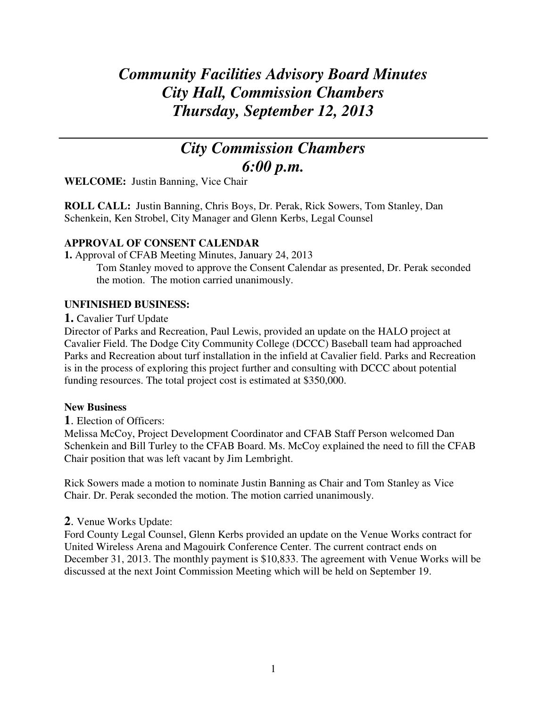# *Community Facilities Advisory Board Minutes City Hall, Commission Chambers Thursday, September 12, 2013*

# *City Commission Chambers 6:00 p.m.*

**WELCOME:** Justin Banning, Vice Chair

**ROLL CALL:** Justin Banning, Chris Boys, Dr. Perak, Rick Sowers, Tom Stanley, Dan Schenkein, Ken Strobel, City Manager and Glenn Kerbs, Legal Counsel

## **APPROVAL OF CONSENT CALENDAR**

**1.** Approval of CFAB Meeting Minutes, January 24, 2013

Tom Stanley moved to approve the Consent Calendar as presented, Dr. Perak seconded the motion. The motion carried unanimously.

## **UNFINISHED BUSINESS:**

**1.** Cavalier Turf Update

Director of Parks and Recreation, Paul Lewis, provided an update on the HALO project at Cavalier Field. The Dodge City Community College (DCCC) Baseball team had approached Parks and Recreation about turf installation in the infield at Cavalier field. Parks and Recreation is in the process of exploring this project further and consulting with DCCC about potential funding resources. The total project cost is estimated at \$350,000.

## **New Business**

**1**. Election of Officers:

Melissa McCoy, Project Development Coordinator and CFAB Staff Person welcomed Dan Schenkein and Bill Turley to the CFAB Board. Ms. McCoy explained the need to fill the CFAB Chair position that was left vacant by Jim Lembright.

Rick Sowers made a motion to nominate Justin Banning as Chair and Tom Stanley as Vice Chair. Dr. Perak seconded the motion. The motion carried unanimously.

## **2**. Venue Works Update:

Ford County Legal Counsel, Glenn Kerbs provided an update on the Venue Works contract for United Wireless Arena and Magouirk Conference Center. The current contract ends on December 31, 2013. The monthly payment is \$10,833. The agreement with Venue Works will be discussed at the next Joint Commission Meeting which will be held on September 19.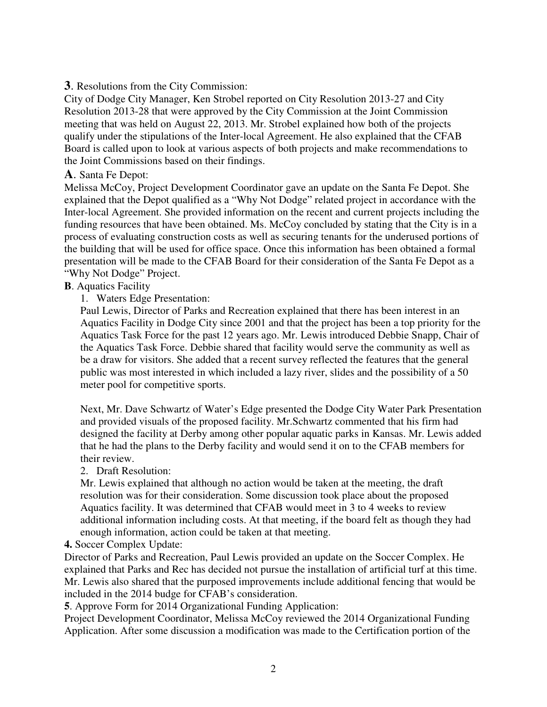**3**. Resolutions from the City Commission:

City of Dodge City Manager, Ken Strobel reported on City Resolution 2013-27 and City Resolution 2013-28 that were approved by the City Commission at the Joint Commission meeting that was held on August 22, 2013. Mr. Strobel explained how both of the projects qualify under the stipulations of the Inter-local Agreement. He also explained that the CFAB Board is called upon to look at various aspects of both projects and make recommendations to the Joint Commissions based on their findings.

#### **A**. Santa Fe Depot:

Melissa McCoy, Project Development Coordinator gave an update on the Santa Fe Depot. She explained that the Depot qualified as a "Why Not Dodge" related project in accordance with the Inter-local Agreement. She provided information on the recent and current projects including the funding resources that have been obtained. Ms. McCoy concluded by stating that the City is in a process of evaluating construction costs as well as securing tenants for the underused portions of the building that will be used for office space. Once this information has been obtained a formal presentation will be made to the CFAB Board for their consideration of the Santa Fe Depot as a "Why Not Dodge" Project.

#### **B**. Aquatics Facility

1. Waters Edge Presentation:

Paul Lewis, Director of Parks and Recreation explained that there has been interest in an Aquatics Facility in Dodge City since 2001 and that the project has been a top priority for the Aquatics Task Force for the past 12 years ago. Mr. Lewis introduced Debbie Snapp, Chair of the Aquatics Task Force. Debbie shared that facility would serve the community as well as be a draw for visitors. She added that a recent survey reflected the features that the general public was most interested in which included a lazy river, slides and the possibility of a 50 meter pool for competitive sports.

Next, Mr. Dave Schwartz of Water's Edge presented the Dodge City Water Park Presentation and provided visuals of the proposed facility. Mr.Schwartz commented that his firm had designed the facility at Derby among other popular aquatic parks in Kansas. Mr. Lewis added that he had the plans to the Derby facility and would send it on to the CFAB members for their review.

2. Draft Resolution:

Mr. Lewis explained that although no action would be taken at the meeting, the draft resolution was for their consideration. Some discussion took place about the proposed Aquatics facility. It was determined that CFAB would meet in 3 to 4 weeks to review additional information including costs. At that meeting, if the board felt as though they had enough information, action could be taken at that meeting.

#### **4.** Soccer Complex Update:

Director of Parks and Recreation, Paul Lewis provided an update on the Soccer Complex. He explained that Parks and Rec has decided not pursue the installation of artificial turf at this time. Mr. Lewis also shared that the purposed improvements include additional fencing that would be included in the 2014 budge for CFAB's consideration.

**5**. Approve Form for 2014 Organizational Funding Application:

Project Development Coordinator, Melissa McCoy reviewed the 2014 Organizational Funding Application. After some discussion a modification was made to the Certification portion of the